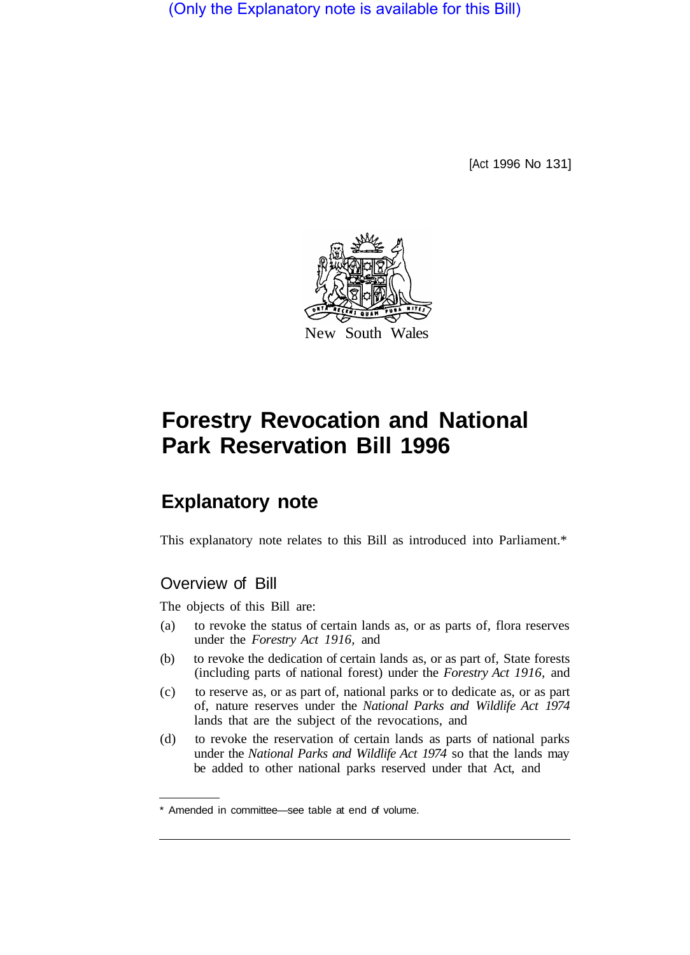(Only the Explanatory note is available for this Bill)

[Act 1996 No 131]



# **Forestry Revocation and National Park Reservation Bill 1996**

# **Explanatory note**

This explanatory note relates to this Bill as introduced into Parliament.\*

## Overview of Bill

The objects of this Bill are:

- (a) to revoke the status of certain lands as, or as parts of, flora reserves under the *Forestry Act 1916,* and
- (b) to revoke the dedication of certain lands as, or as part of, State forests (including parts of national forest) under the *Forestry Act 1916,* and
- (c) to reserve as, or as part of, national parks or to dedicate as, or as part of, nature reserves under the *National Parks and Wildlife Act 1974*  lands that are the subject of the revocations, and
- (d) to revoke the reservation of certain lands as parts of national parks under the *National Parks and Wildlife Act 1974* so that the lands may be added to other national parks reserved under that Act, and

<sup>\*</sup> Amended in committee—see table at end of volume.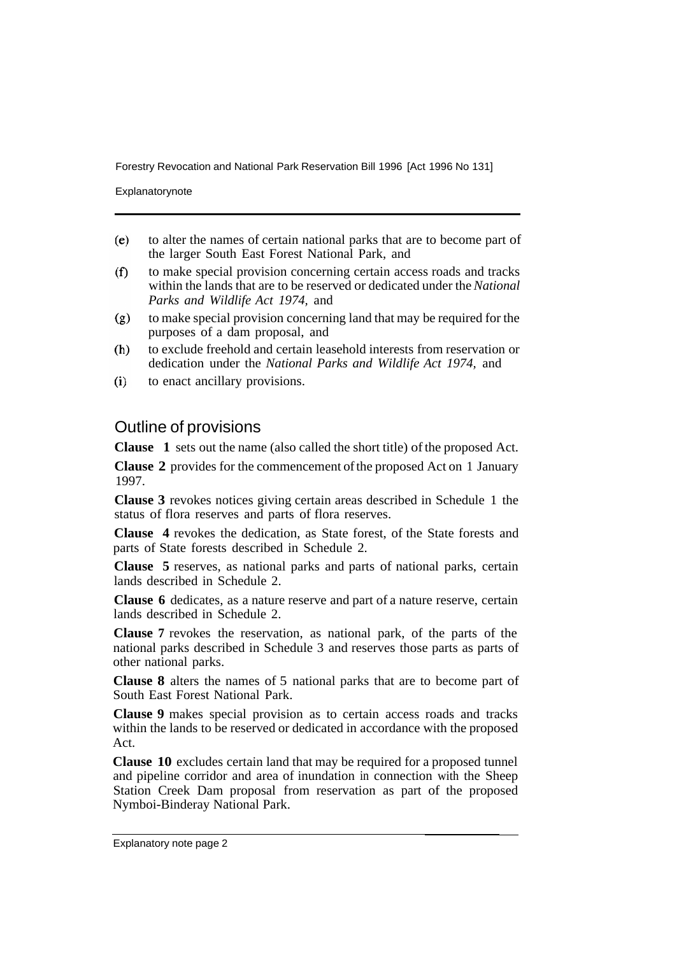Forestry Revocation and National Park Reservation Bill 1996 [Act 1996 No 131]

Explanatorynote

- to alter the names of certain national parks that are to become part of  $(e)$ the larger South East Forest National Park, and
- $(f)$ to make special provision concerning certain access roads and tracks within the lands that are to be reserved or dedicated under the *National Parks and Wildlife Act 1974,* and
- to make special provision concerning land that may be required for the  $(g)$ purposes of a dam proposal, and
- to exclude freehold and certain leasehold interests from reservation or  $(h)$ dedication under the *National Parks and Wildlife Act 1974,* and
- $(i)$ to enact ancillary provisions.

### Outline of provisions

**Clause 1** sets out the name (also called the short title) of the proposed Act.

**Clause 2** provides for the commencement of the proposed Act on 1 January 1997.

**Clause 3** revokes notices giving certain areas described in Schedule 1 the status of flora reserves and parts of flora reserves.

**Clause 4** revokes the dedication, as State forest, of the State forests and parts of State forests described in Schedule 2.

**Clause 5** reserves, as national parks and parts of national parks, certain lands described in Schedule 2.

**Clause 6** dedicates, as a nature reserve and part of a nature reserve, certain lands described in Schedule 2.

**Clause 7** revokes the reservation, as national park, of the parts of the national parks described in Schedule 3 and reserves those parts as parts of other national parks.

**Clause 8** alters the names of 5 national parks that are to become part of South East Forest National Park.

**Clause 9** makes special provision as to certain access roads and tracks within the lands to be reserved or dedicated in accordance with the proposed Act.

**Clause 10** excludes certain land that may be required for a proposed tunnel and pipeline corridor and area of inundation in connection with the Sheep Station Creek Dam proposal from reservation as part of the proposed Nymboi-Binderay National Park.